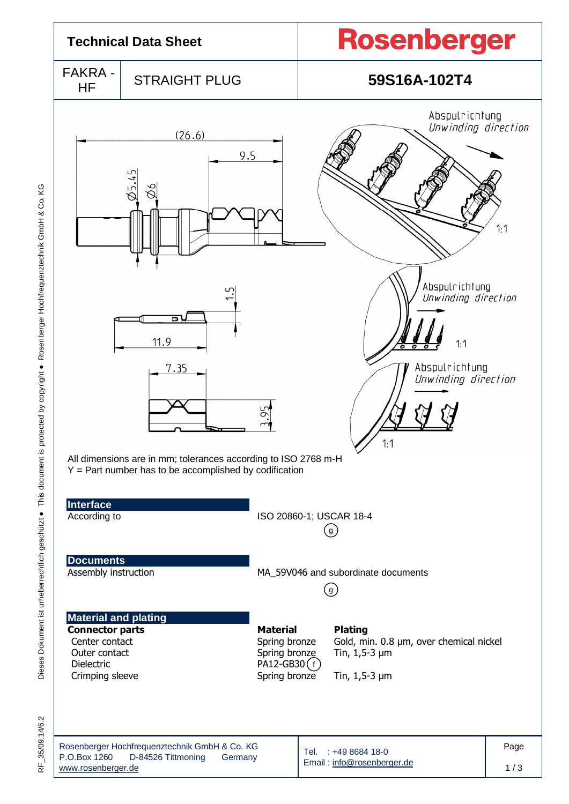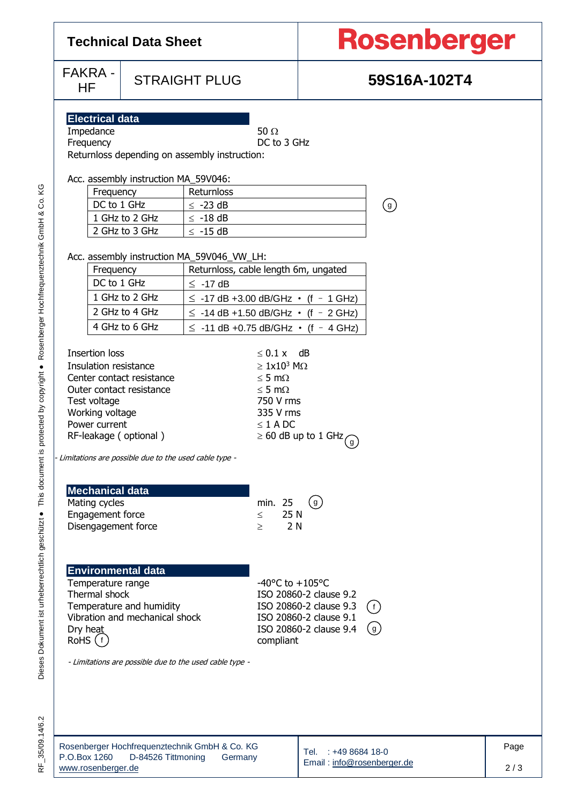| <b>Technical Data Sheet</b>                                                                                                                                                                                                                                                                                                |                                                        |                                                                                               |                                                                                                                                      | <b>Rosenberger</b>                                                                                   |              |      |  |  |
|----------------------------------------------------------------------------------------------------------------------------------------------------------------------------------------------------------------------------------------------------------------------------------------------------------------------------|--------------------------------------------------------|-----------------------------------------------------------------------------------------------|--------------------------------------------------------------------------------------------------------------------------------------|------------------------------------------------------------------------------------------------------|--------------|------|--|--|
| <b>FAKRA -</b><br>HF                                                                                                                                                                                                                                                                                                       |                                                        | <b>STRAIGHT PLUG</b>                                                                          |                                                                                                                                      |                                                                                                      |              |      |  |  |
| <b>Electrical data</b><br>Impedance<br>Frequency<br>Frequency<br>DC to 1 GHz                                                                                                                                                                                                                                               | Acc. assembly instruction MA_59V046:<br>1 GHz to 2 GHz | Returnloss depending on assembly instruction:<br>Returnloss<br>$\leq$ -23 dB<br>$\leq$ -18 dB | 50 $\Omega$<br>DC to 3 GHz                                                                                                           |                                                                                                      | (g)          |      |  |  |
| 2 GHz to 3 GHz<br>$\leq$ -15 dB<br>Acc. assembly instruction MA_59V046_VW_LH:<br>Returnloss, cable length 6m, ungated<br>Frequency<br>DC to 1 GHz<br>$\leq$ -17 dB<br>1 GHz to 2 GHz<br>$\le$ -17 dB +3.00 dB/GHz $\cdot$ (f - 1 GHz)<br>2 GHz to 4 GHz<br>$\le$ -14 dB +1.50 dB/GHz $\cdot$ (f - 2 GHz)<br>4 GHz to 6 GHz |                                                        |                                                                                               | $\le$ -11 dB +0.75 dB/GHz $\cdot$ (f - 4 GHz)                                                                                        |                                                                                                      |              |      |  |  |
| <b>Insertion loss</b><br>Insulation resistance<br>Center contact resistance<br>Outer contact resistance<br>Test voltage<br>Working voltage<br>Power current<br>RF-leakage (optional)<br>- Limitations are possible due to the used cable type -                                                                            |                                                        |                                                                                               | $\leq$ 0.1 x dB<br>$\geq 1x10^3$ M $\Omega$<br>$\leq$ 5 m $\Omega$<br>$\leq$ 5 m $\Omega$<br>750 V rms<br>335 V rms<br>$\leq$ 1 A DC | $\geq 60$ dB up to 1 GHz<br>$\left( 9\right)$                                                        |              |      |  |  |
| <b>Mechanical data</b><br>Mating cycles<br>Engagement force<br>Disengagement force                                                                                                                                                                                                                                         |                                                        |                                                                                               | min. 25<br>25 N<br>$\leq$<br>2 N<br>$\geq$                                                                                           | (g)                                                                                                  |              |      |  |  |
| <b>Environmental data</b><br>Temperature range<br>Thermal shock<br>Temperature and humidity<br>Vibration and mechanical shock<br>Dry heat<br>$RoHS$ (f)<br>- Limitations are possible due to the used cable type -                                                                                                         |                                                        |                                                                                               | $-40^{\circ}$ C to $+105^{\circ}$ C<br>compliant                                                                                     | ISO 20860-2 clause 9.2<br>ISO 20860-2 clause 9.3<br>ISO 20860-2 clause 9.1<br>ISO 20860-2 clause 9.4 | ( f )<br>(g) |      |  |  |
| $P \cap \text{Row } 1260$ $D_2A526$ Tittmoning                                                                                                                                                                                                                                                                             |                                                        | Rosenberger Hochfrequenztechnik GmbH & Co. KG<br>Germany                                      |                                                                                                                                      | : +49 8684 18-0<br>Tel.                                                                              |              | Page |  |  |

RF\_35/09.14/6.2

2 / 3

## x 1260 D-84526 Tittmoning Germany [www.rosenberger.de](http://www.rosenberger.de/)

Email [: info@rosenberger.de](mailto:info@rosenberger.de)